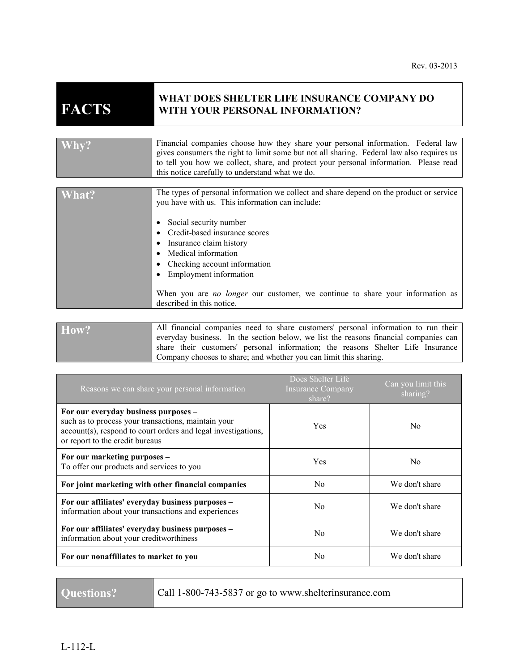## **FACTS WHAT DOES SHELTER LIFE INSURANCE COMPANY DO WITH YOUR PERSONAL INFORMATION?**

| Why?  | Financial companies choose how they share your personal information. Federal law<br>gives consumers the right to limit some but not all sharing. Federal law also requires us<br>to tell you how we collect, share, and protect your personal information. Please read<br>this notice carefully to understand what we do.                                                                                                              |
|-------|----------------------------------------------------------------------------------------------------------------------------------------------------------------------------------------------------------------------------------------------------------------------------------------------------------------------------------------------------------------------------------------------------------------------------------------|
| What? | The types of personal information we collect and share depend on the product or service<br>you have with us. This information can include:<br>Social security number<br>Credit-based insurance scores<br>Insurance claim history<br>Medical information<br>Checking account information<br>Employment information<br>When you are <i>no longer</i> our customer, we continue to share your information as<br>described in this notice. |

| How? | All financial companies need to share customers' personal information to run their   |  |  |
|------|--------------------------------------------------------------------------------------|--|--|
|      | everyday business. In the section below, we list the reasons financial companies can |  |  |
|      | share their customers' personal information; the reasons Shelter Life Insurance      |  |  |
|      | Company chooses to share; and whether you can limit this sharing.                    |  |  |

| Reasons we can share your personal information                                                                                                                                                  | Does Shelter Life<br><b>Insurance Company</b><br>share? | Can you limit this<br>sharing? |
|-------------------------------------------------------------------------------------------------------------------------------------------------------------------------------------------------|---------------------------------------------------------|--------------------------------|
| For our everyday business purposes -<br>such as to process your transactions, maintain your<br>account(s), respond to court orders and legal investigations,<br>or report to the credit bureaus | Yes                                                     | N <sub>0</sub>                 |
| For our marketing purposes -<br>To offer our products and services to you                                                                                                                       | Yes                                                     | No                             |
| For joint marketing with other financial companies                                                                                                                                              | N <sub>0</sub>                                          | We don't share                 |
| For our affiliates' everyday business purposes -<br>information about your transactions and experiences                                                                                         | N <sub>0</sub>                                          | We don't share                 |
| For our affiliates' everyday business purposes -<br>information about your creditworthiness                                                                                                     | N <sub>0</sub>                                          | We don't share                 |
| For our nonaffiliates to market to you                                                                                                                                                          | N <sub>0</sub>                                          | We don't share                 |

Questions? **Call 1-800-743-5837** or go to www.shelterinsurance.com